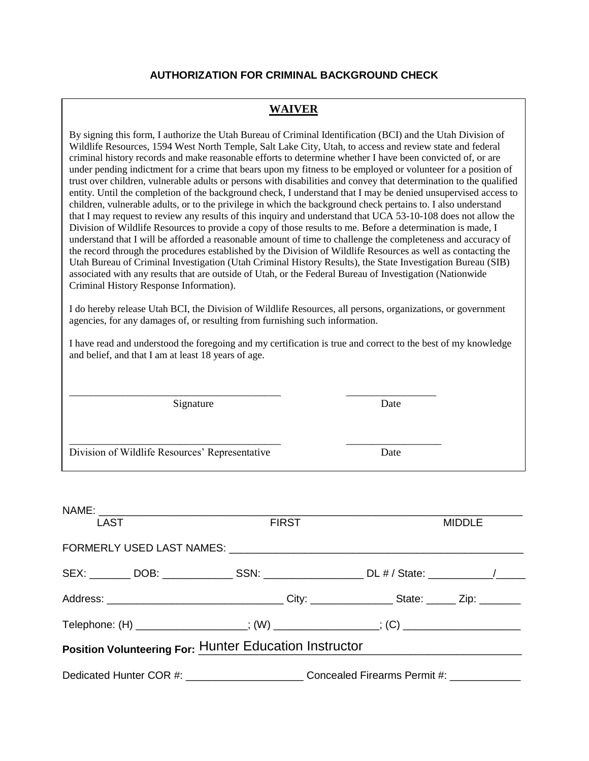## **AUTHORIZATION FOR CRIMINAL BACKGROUND CHECK**

# **WAIVER**

By signing this form, I authorize the Utah Bureau of Criminal Identification (BCI) and the Utah Division of Wildlife Resources, 1594 West North Temple, Salt Lake City, Utah, to access and review state and federal criminal history records and make reasonable efforts to determine whether I have been convicted of, or are under pending indictment for a crime that bears upon my fitness to be employed or volunteer for a position of trust over children, vulnerable adults or persons with disabilities and convey that determination to the qualified entity. Until the completion of the background check, I understand that I may be denied unsupervised access to children, vulnerable adults, or to the privilege in which the background check pertains to. I also understand that I may request to review any results of this inquiry and understand that UCA 53-10-108 does not allow the Division of Wildlife Resources to provide a copy of those results to me. Before a determination is made, I understand that I will be afforded a reasonable amount of time to challenge the completeness and accuracy of the record through the procedures established by the Division of Wildlife Resources as well as contacting the Utah Bureau of Criminal Investigation (Utah Criminal History Results), the State Investigation Bureau (SIB) associated with any results that are outside of Utah, or the Federal Bureau of Investigation (Nationwide Criminal History Response Information).

I do hereby release Utah BCI, the Division of Wildlife Resources, all persons, organizations, or government agencies, for any damages of, or resulting from furnishing such information.

I have read and understood the foregoing and my certification is true and correct to the best of my knowledge and belief, and that I am at least 18 years of age.

\_\_\_\_\_\_\_\_\_\_\_\_\_\_\_\_\_\_\_\_\_\_\_\_\_\_\_\_\_\_\_\_\_\_\_\_\_\_\_\_ \_\_\_\_\_\_\_\_\_\_\_\_\_\_\_\_\_

\_\_\_\_\_\_\_\_\_\_\_\_\_\_\_\_\_\_\_\_\_\_\_\_\_\_\_\_\_\_\_\_\_\_\_\_\_\_\_\_ \_\_\_\_\_\_\_\_\_\_\_\_\_\_\_\_\_\_

Signature Date

Division of Wildlife Resources' Representative Date

| <b>LAST</b>                                                                      | <b>FIRST</b>                                                                                        |  | <b>MIDDLE</b> |
|----------------------------------------------------------------------------------|-----------------------------------------------------------------------------------------------------|--|---------------|
|                                                                                  |                                                                                                     |  |               |
|                                                                                  |                                                                                                     |  |               |
|                                                                                  |                                                                                                     |  |               |
| Telephone: (H) ___________________; (W) _______________; (C) ___________________ |                                                                                                     |  |               |
| Position Volunteering For: Hunter Education Instructor                           |                                                                                                     |  |               |
|                                                                                  | Dedicated Hunter COR #: _______________________________Concealed Firearms Permit #: _______________ |  |               |